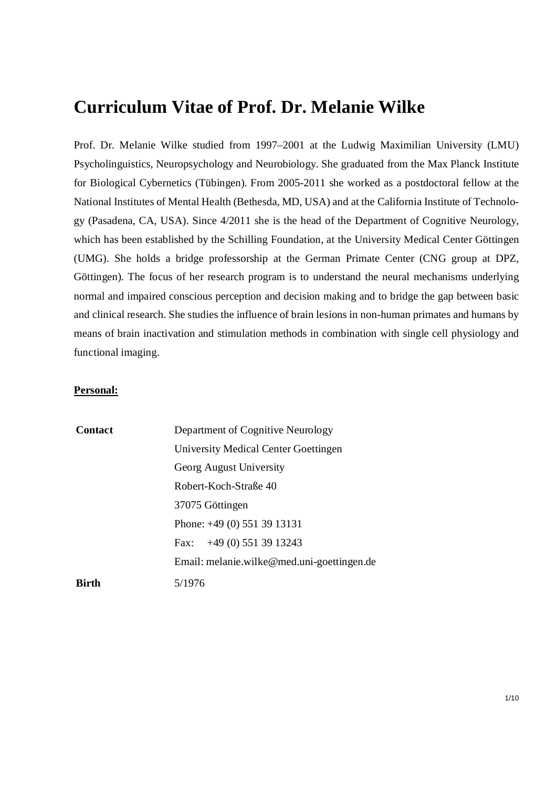# **Curriculum Vitae of Prof. Dr. Melanie Wilke**

Prof. Dr. Melanie Wilke studied from 1997–2001 at the Ludwig Maximilian University (LMU) Psycholinguistics, Neuropsychology and Neurobiology. She graduated from the Max Planck Institute for Biological Cybernetics (Tübingen). From 2005-2011 she worked as a postdoctoral fellow at the National Institutes of Mental Health (Bethesda, MD, USA) and at the California Institute of Technology (Pasadena, CA, USA). Since 4/2011 she is the head of the Department of Cognitive Neurology, which has been established by the Schilling Foundation, at the University Medical Center Göttingen (UMG). She holds a bridge professorship at the German Primate Center (CNG group at DPZ, Göttingen). The focus of her research program is to understand the neural mechanisms underlying normal and impaired conscious perception and decision making and to bridge the gap between basic and clinical research. She studies the influence of brain lesions in non-human primates and humans by means of brain inactivation and stimulation methods in combination with single cell physiology and functional imaging.

#### **Personal:**

| Contact      | Department of Cognitive Neurology          |
|--------------|--------------------------------------------|
|              | University Medical Center Goettingen       |
|              | Georg August University                    |
|              | Robert-Koch-Straße 40                      |
|              | 37075 Göttingen                            |
|              | Phone: $+49(0)$ 551 39 13131               |
|              | Fax: $+49(0)$ 551 39 13243                 |
|              | Email: melanie.wilke@med.uni-goettingen.de |
| <b>Birth</b> | 5/1976                                     |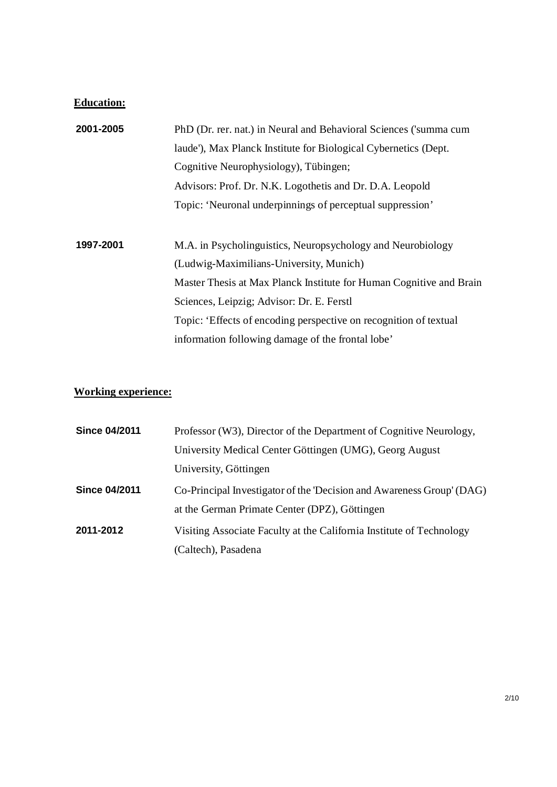# **Education:**

| 2001-2005 | PhD (Dr. rer. nat.) in Neural and Behavioral Sciences ('summa cum   |
|-----------|---------------------------------------------------------------------|
|           | laude'), Max Planck Institute for Biological Cybernetics (Dept.     |
|           | Cognitive Neurophysiology), Tübingen;                               |
|           | Advisors: Prof. Dr. N.K. Logothetis and Dr. D.A. Leopold            |
|           | Topic: 'Neuronal underpinnings of perceptual suppression'           |
|           |                                                                     |
| 1997-2001 | M.A. in Psycholinguistics, Neuropsychology and Neurobiology         |
|           | (Ludwig-Maximilians-University, Munich)                             |
|           | Master Thesis at Max Planck Institute for Human Cognitive and Brain |
|           | Sciences, Leipzig; Advisor: Dr. E. Ferstl                           |
|           | Topic: 'Effects of encoding perspective on recognition of textual   |
|           | information following damage of the frontal lobe'                   |

# **Working experience:**

| <b>Since 04/2011</b> | Professor (W3), Director of the Department of Cognitive Neurology,    |
|----------------------|-----------------------------------------------------------------------|
|                      | University Medical Center Göttingen (UMG), Georg August               |
|                      | University, Göttingen                                                 |
| <b>Since 04/2011</b> | Co-Principal Investigator of the 'Decision and Awareness Group' (DAG) |
|                      | at the German Primate Center (DPZ), Göttingen                         |
| 2011-2012            | Visiting Associate Faculty at the California Institute of Technology  |
|                      | (Caltech), Pasadena                                                   |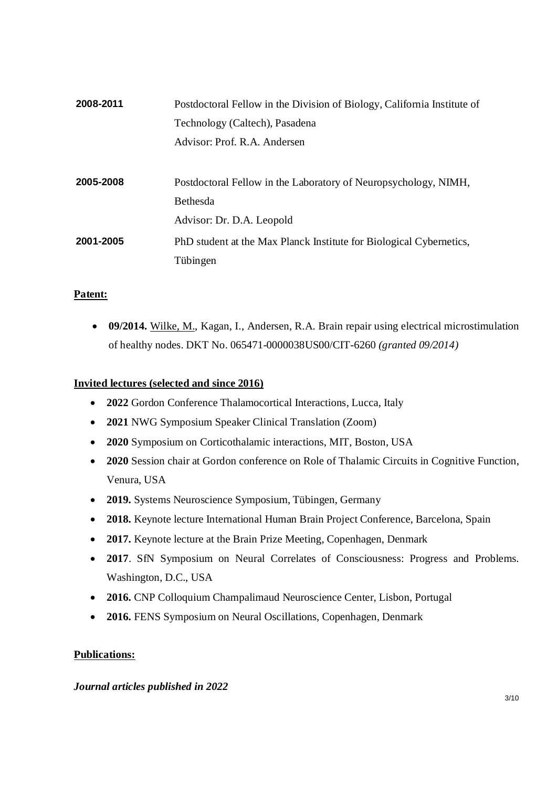| 2008-2011 | Postdoctoral Fellow in the Division of Biology, California Institute of |
|-----------|-------------------------------------------------------------------------|
|           | Technology (Caltech), Pasadena                                          |
|           | Advisor: Prof. R.A. Andersen                                            |
|           |                                                                         |
| 2005-2008 | Postdoctoral Fellow in the Laboratory of Neuropsychology, NIMH,         |
|           | Bethesda                                                                |
|           | Advisor: Dr. D.A. Leopold                                               |
| 2001-2005 | PhD student at the Max Planck Institute for Biological Cybernetics,     |
|           | Tübingen                                                                |

# **Patent:**

 **09/2014.** Wilke, M., Kagan, I., Andersen, R.A. Brain repair using electrical microstimulation of healthy nodes. DKT No. 065471-0000038US00/CIT-6260 *(granted 09/2014)*

### **Invited lectures (selected and since 2016)**

- **2022** Gordon Conference Thalamocortical Interactions, Lucca, Italy
- **2021** NWG Symposium Speaker Clinical Translation (Zoom)
- **2020** Symposium on Corticothalamic interactions, MIT, Boston, USA
- **2020** Session chair at Gordon conference on Role of Thalamic Circuits in Cognitive Function, Venura, USA
- **2019.** Systems Neuroscience Symposium, Tübingen, Germany
- **2018.** Keynote lecture International Human Brain Project Conference, Barcelona, Spain
- **2017.** Keynote lecture at the Brain Prize Meeting, Copenhagen, Denmark
- **2017**. SfN Symposium on Neural Correlates of Consciousness: Progress and Problems. Washington, D.C., USA
- **2016.** CNP Colloquium Champalimaud Neuroscience Center, Lisbon, Portugal
- **2016.** FENS Symposium on Neural Oscillations, Copenhagen, Denmark

# **Publications:**

#### *Journal articles published in 2022*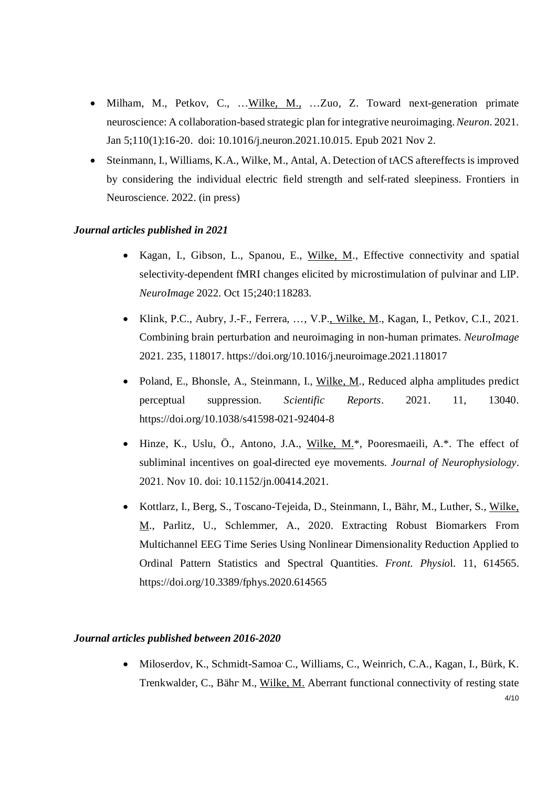- Milham, M., Petkov, C., …Wilke, M., …Zuo, Z. Toward next-generation primate neuroscience: A collaboration-based strategic plan for integrative neuroimaging.*Neuron*. 2021. Jan 5;110(1):16-20. doi: 10.1016/j.neuron.2021.10.015. Epub 2021 Nov 2.
- Steinmann, I., Williams, K.A., Wilke, M., Antal, A. Detection of tACS aftereffects is improved by considering the individual electric field strength and self-rated sleepiness. Frontiers in Neuroscience. 2022. (in press)

#### *Journal articles published in 2021*

- Kagan, I., Gibson, L., Spanou, E., Wilke, M., Effective connectivity and spatial selectivity-dependent fMRI changes elicited by microstimulation of pulvinar and LIP. *NeuroImage* 2022. Oct 15;240:118283.
- Klink, P.C., Aubry, J.-F., Ferrera, …, V.P., Wilke, M., Kagan, I., Petkov, C.I., 2021. Combining brain perturbation and neuroimaging in non-human primates. *NeuroImage* 2021. 235, 118017. https://doi.org/10.1016/j.neuroimage.2021.118017
- Poland, E., Bhonsle, A., Steinmann, I., Wilke, M., Reduced alpha amplitudes predict perceptual suppression. *Scientific Reports*. 2021. 11, 13040. https://doi.org/10.1038/s41598-021-92404-8
- Hinze, K., Uslu, Ö., Antono, J.A., Wilke, M.\*, Pooresmaeili, A.\*. The effect of subliminal incentives on goal-directed eye movements*. Journal of Neurophysiology*. 2021. Nov 10. doi: 10.1152/jn.00414.2021.
- Kottlarz, I., Berg, S., Toscano-Tejeida, D., Steinmann, I., Bähr, M., Luther, S., Wilke, M., Parlitz, U., Schlemmer, A., 2020. Extracting Robust Biomarkers From Multichannel EEG Time Series Using Nonlinear Dimensionality Reduction Applied to Ordinal Pattern Statistics and Spectral Quantities. *Front. Physio*l. 11, 614565. https://doi.org/10.3389/fphys.2020.614565

#### *Journal articles published between 2016-2020*

4/10 • Miloserdov, K., Schmidt-Samoa<sup>,</sup> C., Williams, C., Weinrich, C.A., Kagan, I., Bürk, K. Trenkwalder, C., Bähr M., Wilke, M. Aberrant functional connectivity of resting state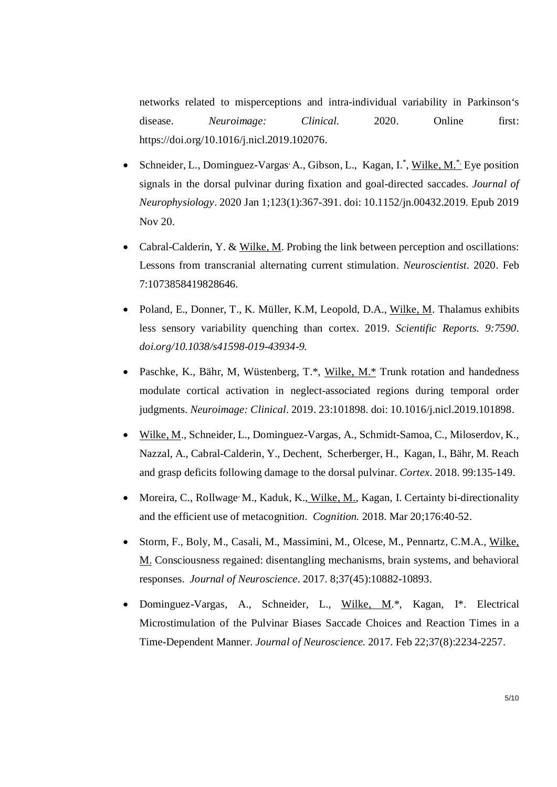networks related to misperceptions and intra-individual variability in Parkinson's disease. *Neuroimage: Clinical.* 2020. Online first: https://doi.org/10.1016/j.nicl.2019.102076.

- Schneider, L., Dominguez-Vargas<sup>,</sup> A., Gibson, L., Kagan, I.<sup>\*</sup>, Wilke, M.<sup>\*</sup> Eye position signals in the dorsal pulvinar during fixation and goal-directed saccades. *Journal of Neurophysiology*. 2020 Jan 1;123(1):367-391. doi: 10.1152/jn.00432.2019. Epub 2019 Nov 20.
- Cabral-Calderin, Y. & Wilke, M. Probing the link between perception and oscillations: Lessons from transcranial alternating current stimulation. *Neuroscientist*. 2020. Feb 7:1073858419828646.
- Poland, E., Donner, T., K. Müller, K.M, Leopold, D.A., Wilke, M. Thalamus exhibits less sensory variability quenching than cortex. 2019. *Scientific Reports. 9:7590. doi.org/10.1038/s41598-019-43934-9.*
- Paschke, K., Bähr, M, Wüstenberg, T.\*, Wilke, M.\* Trunk rotation and handedness modulate cortical activation in neglect-associated regions during temporal order judgments. *Neuroimage: Clinical*. 2019. 23:101898. doi: 10.1016/j.nicl.2019.101898.
- Wilke, M., Schneider, L., Dominguez-Vargas, A., Schmidt-Samoa, C., Miloserdov, K., Nazzal, A., Cabral-Calderin, Y., Dechent,, Scherberger, H.,, Kagan, I., Bähr, M. Reach and grasp deficits following damage to the dorsal pulvinar. *Cortex.* 2018. 99:135-149.
- Moreira, C., Rollwage<sup>,</sup> M., Kaduk, K., Wilke, M., Kagan, I. Certainty bi-directionality and the efficient use of metacognitio*n. Cognition.* 2018. Mar 20;176:40-52.
- Storm, F., Boly, M., Casali, M., Massimini, M., Olcese, M., Pennartz, C.M.A., Wilke, M. Consciousness regained: disentangling mechanisms, brain systems, and behavioral responses. *Journal of Neuroscience*. 2017. 8;37(45):10882-10893.
- Dominguez-Vargas, A., Schneider, L., Wilke, M.\*, Kagan, I\*. Electrical Microstimulation of the Pulvinar Biases Saccade Choices and Reaction Times in a Time-Dependent Manner. *Journal of Neuroscience.* 2017. Feb 22;37(8):2234-2257.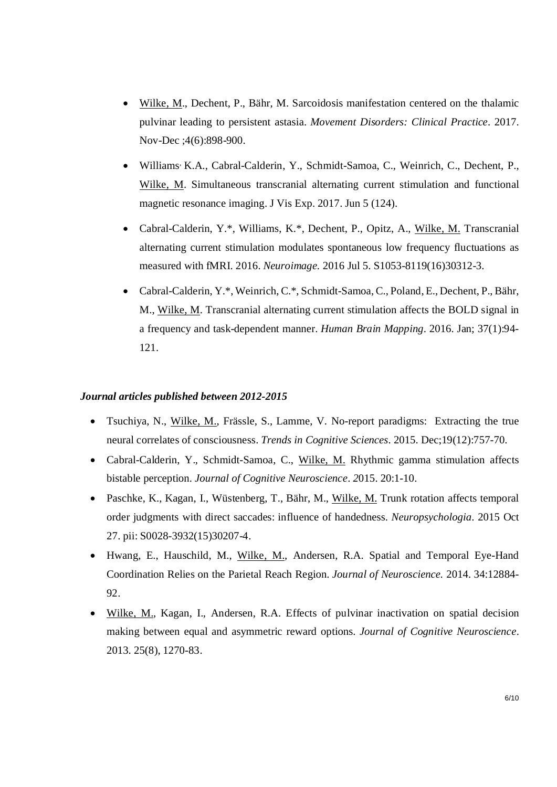- Wilke, M., Dechent, P., Bähr, M. Sarcoidosis manifestation centered on the thalamic pulvinar leading to persistent astasia. *Movement Disorders: Clinical Practice.* 2017. Nov-Dec ;4(6):898-900.
- Williams, K.A., Cabral-Calderin, Y., Schmidt-Samoa, C., Weinrich, C., Dechent, P., Wilke, M. Simultaneous transcranial alternating current stimulation and functional magnetic resonance imaging. J Vis Exp. 2017. Jun 5 (124).
- Cabral-Calderin, Y.\*, Williams, K.\*, Dechent, P., Opitz, A., Wilke, M. Transcranial alternating current stimulation modulates spontaneous low frequency fluctuations as measured with fMRI. 2016. *Neuroimage.* 2016 Jul 5. S1053-8119(16)30312-3.
- Cabral-Calderin, Y.\*, Weinrich, C.\*, Schmidt-Samoa, C., Poland, E., Dechent, P., Bähr, M., Wilke, M. Transcranial alternating current stimulation affects the BOLD signal in a frequency and task-dependent manner. *Human Brain Mapping*. 2016. Jan; 37(1):94- 121.

#### *Journal articles published between 2012-2015*

- Tsuchiya, N., Wilke, M., Frässle, S., Lamme, V. No-report paradigms: Extracting the true neural correlates of consciousness. *Trends in Cognitive Sciences.* 2015. Dec;19(12):757-70.
- Cabral-Calderin, Y., Schmidt-Samoa, C., Wilke, M. Rhythmic gamma stimulation affects bistable perception*. Journal of Cognitive Neuroscience. 2*015. 20:1-10.
- Paschke, K., Kagan, I., Wüstenberg, T., Bähr, M., Wilke, M. Trunk rotation affects temporal order judgments with direct saccades: influence of handedness. *Neuropsychologia*. 2015 Oct 27. pii: S0028-3932(15)30207-4.
- Hwang, E., Hauschild, M., Wilke, M., Andersen, R.A. Spatial and Temporal Eye-Hand Coordination Relies on the Parietal Reach Region. *Journal of Neuroscience.* 2014. 34:12884- 92.
- Wilke, M., Kagan, I., Andersen, R.A. Effects of pulvinar inactivation on spatial decision making between equal and asymmetric reward options. *Journal of Cognitive Neuroscience*. 2013. 25(8), 1270-83.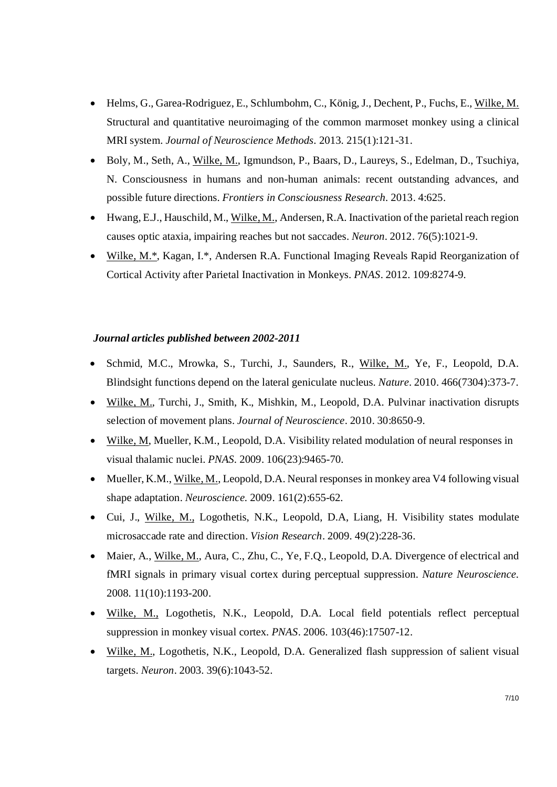- Helms, G., Garea-Rodriguez, E., Schlumbohm, C., König, J., Dechent, P., Fuchs, E., Wilke, M. Structural and quantitative neuroimaging of the common marmoset monkey using a clinical MRI system. *Journal of Neuroscience Methods.* 2013. 215(1):121-31.
- Boly, M., Seth, A., Wilke, M., Igmundson, P., Baars, D., Laureys, S., Edelman, D., Tsuchiya, N. Consciousness in humans and non-human animals: recent outstanding advances, and possible future directions. *Frontiers in Consciousness Research.* 2013. 4:625.
- $\bullet$  Hwang, E.J., Hauschild, M., Wilke, M., Andersen, R.A. Inactivation of the parietal reach region causes optic ataxia, impairing reaches but not saccades. *Neuron*. 2012. 76(5):1021-9.
- Wilke, M.\*, Kagan, I.\*, Andersen R.A. Functional Imaging Reveals Rapid Reorganization of Cortical Activity after Parietal Inactivation in Monkeys. *PNAS*. 2012. 109:8274-9.

#### *Journal articles published between 2002-2011*

- Schmid, M.C., Mrowka, S., Turchi, J., Saunders, R., Wilke, M., Ye, F., Leopold, D.A. Blindsight functions depend on the lateral geniculate nucleus. *Nature*. 2010. 466(7304):373-7.
- Wilke, M., Turchi, J., Smith, K., Mishkin, M., Leopold, D.A. Pulvinar inactivation disrupts selection of movement plans. *Journal of Neuroscience*. 2010. 30:8650-9.
- Wilke, M, Mueller, K.M., Leopold, D.A. Visibility related modulation of neural responses in visual thalamic nuclei. *PNAS*. 2009. 106(23):9465-70.
- Mueller, K.M., Wilke, M., Leopold, D.A. Neural responses in monkey area V4 following visual shape adaptation. *Neuroscience.* 2009. 161(2):655-62.
- Cui, J., Wilke, M., Logothetis, N.K., Leopold, D.A, Liang, H. Visibility states modulate microsaccade rate and direction. *Vision Research*. 2009. 49(2):228-36.
- Maier, A., Wilke, M., Aura, C., Zhu, C., Ye, F.Q., Leopold, D.A. Divergence of electrical and fMRI signals in primary visual cortex during perceptual suppression. *Nature Neuroscience.* 2008. 11(10):1193-200.
- Wilke, M., Logothetis, N.K., Leopold, D.A. Local field potentials reflect perceptual suppression in monkey visual cortex*. PNAS*. 2006. 103(46):17507-12.
- Wilke, M., Logothetis, N.K., Leopold, D.A. Generalized flash suppression of salient visual targets. *Neuron*. 2003. 39(6):1043-52.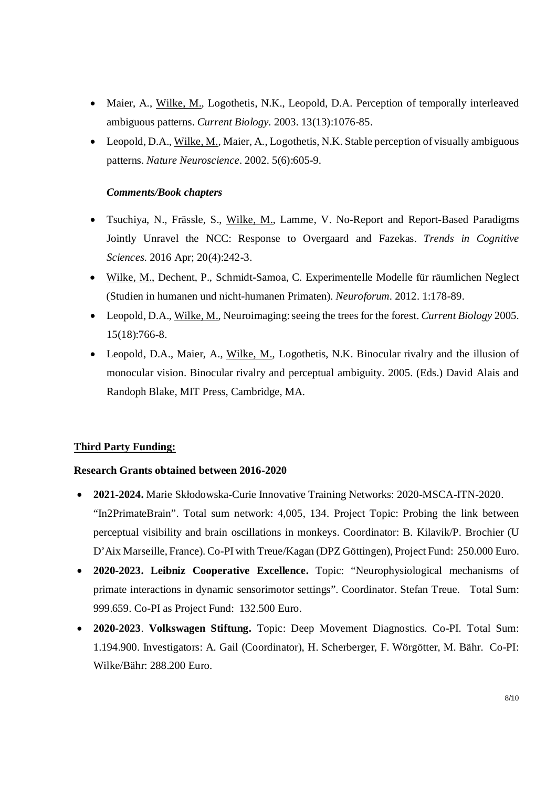- Maier, A., Wilke, M., Logothetis, N.K., Leopold, D.A. Perception of temporally interleaved ambiguous patterns. *Current Biology.* 2003. 13(13):1076-85.
- Leopold, D.A., Wilke, M., Maier, A., Logothetis, N.K. Stable perception of visually ambiguous patterns. *Nature Neuroscience*. 2002. 5(6):605-9.

### *Comments/Book chapters*

- Tsuchiya, N., Frässle, S., Wilke, M., Lamme, V. No-Report and Report-Based Paradigms Jointly Unravel the NCC: Response to Overgaard and Fazekas. *Trends in Cognitive Sciences.* 2016 Apr; 20(4):242-3.
- Wilke, M., Dechent, P., Schmidt-Samoa, C. Experimentelle Modelle für räumlichen Neglect (Studien in humanen und nicht-humanen Primaten). *Neuroforum*. 2012. 1:178-89.
- Leopold, D.A., Wilke, M., Neuroimaging: seeing the trees for the forest. *Current Biology* 2005. 15(18):766-8.
- Leopold, D.A., Maier, A., Wilke, M., Logothetis, N.K. Binocular rivalry and the illusion of monocular vision. Binocular rivalry and perceptual ambiguity. 2005. (Eds.) David Alais and Randoph Blake, MIT Press, Cambridge, MA.

# **Third Party Funding:**

#### **Research Grants obtained between 2016-2020**

- **2021-2024.** Marie Skłodowska-Curie Innovative Training Networks: 2020-MSCA-ITN-2020. "In2PrimateBrain". Total sum network: 4,005, 134. Project Topic: Probing the link between perceptual visibility and brain oscillations in monkeys. Coordinator: B. Kilavik/P. Brochier (U D'Aix Marseille, France). Co-PI with Treue/Kagan (DPZ Göttingen), Project Fund: 250.000 Euro.
- **2020-2023. Leibniz Cooperative Excellence.** Topic: "Neurophysiological mechanisms of primate interactions in dynamic sensorimotor settings". Coordinator. Stefan Treue. Total Sum: 999.659. Co-PI as Project Fund: 132.500 Euro.
- **2020-2023**. **Volkswagen Stiftung.** Topic: Deep Movement Diagnostics. Co-PI. Total Sum: 1.194.900. Investigators: A. Gail (Coordinator), H. Scherberger, F. Wörgötter, M. Bähr. Co-PI: Wilke/Bähr: 288.200 Euro.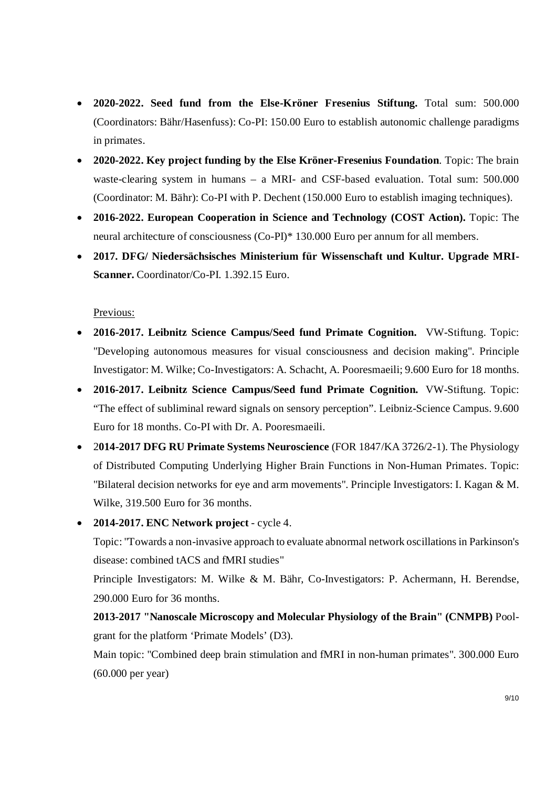- **2020-2022. Seed fund from the Else-Kröner Fresenius Stiftung.** Total sum: 500.000 (Coordinators: Bähr/Hasenfuss): Co-PI: 150.00 Euro to establish autonomic challenge paradigms in primates.
- **2020-2022. Key project funding by the Else Kröner-Fresenius Foundation**. Topic: The brain waste-clearing system in humans – a MRI- and CSF-based evaluation. Total sum: 500.000 (Coordinator: M. Bähr): Co-PI with P. Dechent (150.000 Euro to establish imaging techniques).
- **2016-2022. European Cooperation in Science and Technology (COST Action).** Topic: The neural architecture of consciousness (Co-PI)\* 130.000 Euro per annum for all members.
- **2017. DFG/ Niedersächsisches Ministerium für Wissenschaft und Kultur. Upgrade MRI-Scanner.** Coordinator/Co-PI. 1.392.15 Euro.

Previous:

- **2016-2017. Leibnitz Science Campus/Seed fund Primate Cognition.** VW-Stiftung. Topic: "Developing autonomous measures for visual consciousness and decision making". Principle Investigator: M. Wilke; Co-Investigators: A. Schacht, A. Pooresmaeili; 9.600 Euro for 18 months.
- **2016-2017. Leibnitz Science Campus/Seed fund Primate Cognition.** VW-Stiftung. Topic: "The effect of subliminal reward signals on sensory perception". Leibniz-Science Campus. 9.600 Euro for 18 months. Co-PI with Dr. A. Pooresmaeili.
- 2**014-2017 DFG RU Primate Systems Neuroscience** (FOR 1847/KA 3726/2-1). The Physiology of Distributed Computing Underlying Higher Brain Functions in Non-Human Primates. Topic: "Bilateral decision networks for eye and arm movements". Principle Investigators: I. Kagan & M. Wilke, 319.500 Euro for 36 months.
- **2014-2017. ENC Network project** cycle 4.

Topic: "Towards a non-invasive approach to evaluate abnormal network oscillations in Parkinson's disease: combined tACS and fMRI studies"

Principle Investigators: M. Wilke & M. Bähr, Co-Investigators: P. Achermann, H. Berendse, 290.000 Euro for 36 months.

**2013-2017 "Nanoscale Microscopy and Molecular Physiology of the Brain" (CNMPB)** Poolgrant for the platform 'Primate Models' (D3).

Main topic: "Combined deep brain stimulation and fMRI in non-human primates". 300.000 Euro (60.000 per year)